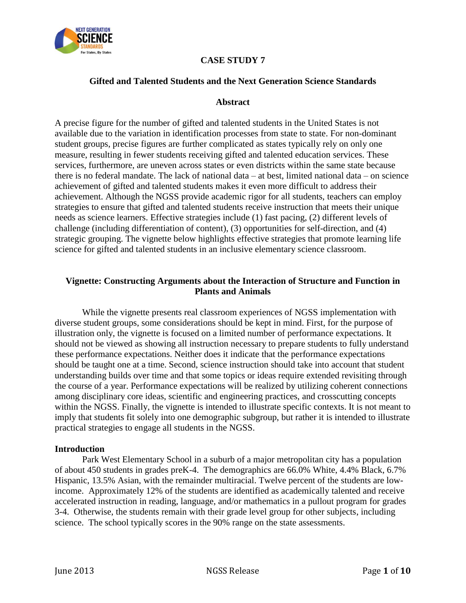

# **CASE STUDY 7**

## **Gifted and Talented Students and the Next Generation Science Standards**

### **Abstract**

A precise figure for the number of gifted and talented students in the United States is not available due to the variation in identification processes from state to state. For non-dominant student groups, precise figures are further complicated as states typically rely on only one measure, resulting in fewer students receiving gifted and talented education services. These services, furthermore, are uneven across states or even districts within the same state because there is no federal mandate. The lack of national data – at best, limited national data – on science achievement of gifted and talented students makes it even more difficult to address their achievement. Although the NGSS provide academic rigor for all students, teachers can employ strategies to ensure that gifted and talented students receive instruction that meets their unique needs as science learners. Effective strategies include (1) fast pacing, (2) different levels of challenge (including differentiation of content), (3) opportunities for self-direction, and (4) strategic grouping. The vignette below highlights effective strategies that promote learning life science for gifted and talented students in an inclusive elementary science classroom.

## **Vignette: Constructing Arguments about the Interaction of Structure and Function in Plants and Animals**

While the vignette presents real classroom experiences of NGSS implementation with diverse student groups, some considerations should be kept in mind. First, for the purpose of illustration only, the vignette is focused on a limited number of performance expectations. It should not be viewed as showing all instruction necessary to prepare students to fully understand these performance expectations. Neither does it indicate that the performance expectations should be taught one at a time. Second, science instruction should take into account that student understanding builds over time and that some topics or ideas require extended revisiting through the course of a year. Performance expectations will be realized by utilizing coherent connections among disciplinary core ideas, scientific and engineering practices, and crosscutting concepts within the NGSS. Finally, the vignette is intended to illustrate specific contexts. It is not meant to imply that students fit solely into one demographic subgroup, but rather it is intended to illustrate practical strategies to engage all students in the NGSS.

### **Introduction**

Park West Elementary School in a suburb of a major metropolitan city has a population of about 450 students in grades preK-4. The demographics are 66.0% White, 4.4% Black, 6.7% Hispanic, 13.5% Asian, with the remainder multiracial. Twelve percent of the students are lowincome. Approximately 12% of the students are identified as academically talented and receive accelerated instruction in reading, language, and/or mathematics in a pullout program for grades 3-4. Otherwise, the students remain with their grade level group for other subjects, including science. The school typically scores in the 90% range on the state assessments.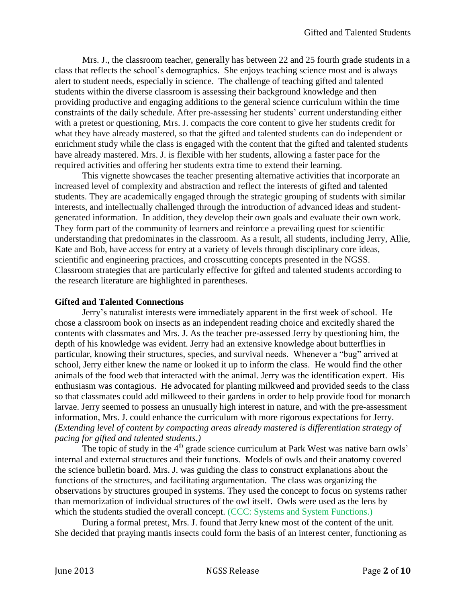Mrs. J., the classroom teacher, generally has between 22 and 25 fourth grade students in a class that reflects the school's demographics. She enjoys teaching science most and is always alert to student needs, especially in science. The challenge of teaching gifted and talented students within the diverse classroom is assessing their background knowledge and then providing productive and engaging additions to the general science curriculum within the time constraints of the daily schedule. After pre-assessing her students' current understanding either with a pretest or questioning, Mrs. J. compacts the core content to give her students credit for what they have already mastered, so that the gifted and talented students can do independent or enrichment study while the class is engaged with the content that the gifted and talented students have already mastered. Mrs. J. is flexible with her students, allowing a faster pace for the required activities and offering her students extra time to extend their learning.

This vignette showcases the teacher presenting alternative activities that incorporate an increased level of complexity and abstraction and reflect the interests of gifted and talented students. They are academically engaged through the strategic grouping of students with similar interests, and intellectually challenged through the introduction of advanced ideas and studentgenerated information. In addition, they develop their own goals and evaluate their own work. They form part of the community of learners and reinforce a prevailing quest for scientific understanding that predominates in the classroom. As a result, all students, including Jerry, Allie, Kate and Bob, have access for entry at a variety of levels through disciplinary core ideas, scientific and engineering practices, and crosscutting concepts presented in the NGSS. Classroom strategies that are particularly effective for gifted and talented students according to the research literature are highlighted in parentheses.

#### **Gifted and Talented Connections**

Jerry's naturalist interests were immediately apparent in the first week of school. He chose a classroom book on insects as an independent reading choice and excitedly shared the contents with classmates and Mrs. J. As the teacher pre-assessed Jerry by questioning him, the depth of his knowledge was evident. Jerry had an extensive knowledge about butterflies in particular, knowing their structures, species, and survival needs. Whenever a "bug" arrived at school, Jerry either knew the name or looked it up to inform the class. He would find the other animals of the food web that interacted with the animal. Jerry was the identification expert. His enthusiasm was contagious. He advocated for planting milkweed and provided seeds to the class so that classmates could add milkweed to their gardens in order to help provide food for monarch larvae. Jerry seemed to possess an unusually high interest in nature, and with the pre-assessment information, Mrs. J. could enhance the curriculum with more rigorous expectations for Jerry. *(Extending level of content by compacting areas already mastered is differentiation strategy of pacing for gifted and talented students.)*

The topic of study in the 4<sup>th</sup> grade science curriculum at Park West was native barn owls' internal and external structures and their functions. Models of owls and their anatomy covered the science bulletin board. Mrs. J. was guiding the class to construct explanations about the functions of the structures, and facilitating argumentation. The class was organizing the observations by structures grouped in systems. They used the concept to focus on systems rather than memorization of individual structures of the owl itself. Owls were used as the lens by which the students studied the overall concept. (CCC: Systems and System Functions.)

During a formal pretest, Mrs. J. found that Jerry knew most of the content of the unit. She decided that praying mantis insects could form the basis of an interest center, functioning as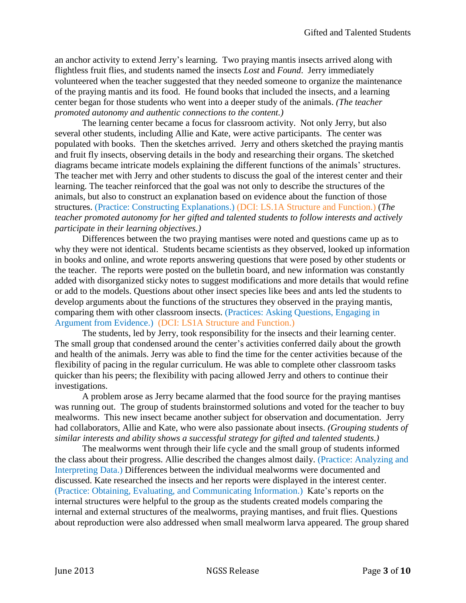an anchor activity to extend Jerry's learning. Two praying mantis insects arrived along with flightless fruit flies, and students named the insects *Lost* and *Found*. Jerry immediately volunteered when the teacher suggested that they needed someone to organize the maintenance of the praying mantis and its food. He found books that included the insects, and a learning center began for those students who went into a deeper study of the animals. *(The teacher promoted autonomy and authentic connections to the content.)*

The learning center became a focus for classroom activity. Not only Jerry, but also several other students, including Allie and Kate, were active participants. The center was populated with books. Then the sketches arrived. Jerry and others sketched the praying mantis and fruit fly insects, observing details in the body and researching their organs. The sketched diagrams became intricate models explaining the different functions of the animals' structures. The teacher met with Jerry and other students to discuss the goal of the interest center and their learning. The teacher reinforced that the goal was not only to describe the structures of the animals, but also to construct an explanation based on evidence about the function of those structures. (Practice: Constructing Explanations.) (DCI: LS.1A Structure and Function.) (*The teacher promoted autonomy for her gifted and talented students to follow interests and actively participate in their learning objectives.)*

Differences between the two praying mantises were noted and questions came up as to why they were not identical. Students became scientists as they observed, looked up information in books and online, and wrote reports answering questions that were posed by other students or the teacher. The reports were posted on the bulletin board, and new information was constantly added with disorganized sticky notes to suggest modifications and more details that would refine or add to the models. Questions about other insect species like bees and ants led the students to develop arguments about the functions of the structures they observed in the praying mantis, comparing them with other classroom insects. (Practices: Asking Questions, Engaging in Argument from Evidence.) (DCI: LS1A Structure and Function.)

The students, led by Jerry, took responsibility for the insects and their learning center. The small group that condensed around the center's activities conferred daily about the growth and health of the animals. Jerry was able to find the time for the center activities because of the flexibility of pacing in the regular curriculum. He was able to complete other classroom tasks quicker than his peers; the flexibility with pacing allowed Jerry and others to continue their investigations.

A problem arose as Jerry became alarmed that the food source for the praying mantises was running out. The group of students brainstormed solutions and voted for the teacher to buy mealworms. This new insect became another subject for observation and documentation. Jerry had collaborators, Allie and Kate, who were also passionate about insects. *(Grouping students of similar interests and ability shows a successful strategy for gifted and talented students.)*

The mealworms went through their life cycle and the small group of students informed the class about their progress. Allie described the changes almost daily. (Practice: Analyzing and Interpreting Data.) Differences between the individual mealworms were documented and discussed. Kate researched the insects and her reports were displayed in the interest center. (Practice: Obtaining, Evaluating, and Communicating Information.) Kate's reports on the internal structures were helpful to the group as the students created models comparing the internal and external structures of the mealworms, praying mantises, and fruit flies. Questions about reproduction were also addressed when small mealworm larva appeared. The group shared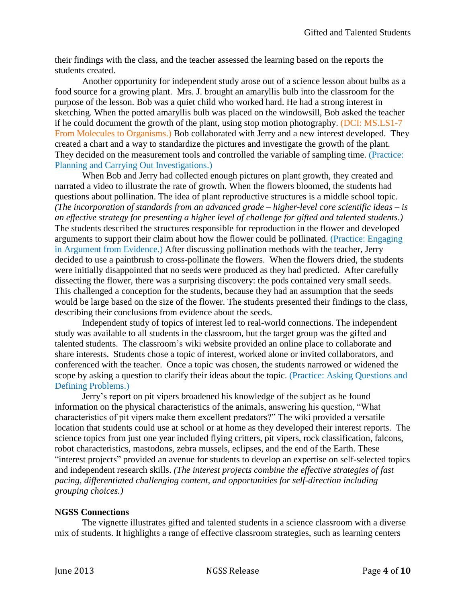their findings with the class, and the teacher assessed the learning based on the reports the students created.

Another opportunity for independent study arose out of a science lesson about bulbs as a food source for a growing plant. Mrs. J. brought an amaryllis bulb into the classroom for the purpose of the lesson. Bob was a quiet child who worked hard. He had a strong interest in sketching. When the potted amaryllis bulb was placed on the windowsill, Bob asked the teacher if he could document the growth of the plant, using stop motion photography. (DCI: MS.LS1-7 From Molecules to Organisms.) Bob collaborated with Jerry and a new interest developed. They created a chart and a way to standardize the pictures and investigate the growth of the plant. They decided on the measurement tools and controlled the variable of sampling time. (Practice: Planning and Carrying Out Investigations.)

When Bob and Jerry had collected enough pictures on plant growth, they created and narrated a video to illustrate the rate of growth. When the flowers bloomed, the students had questions about pollination. The idea of plant reproductive structures is a middle school topic. *(The incorporation of standards from an advanced grade – higher-level core scientific ideas – is an effective strategy for presenting a higher level of challenge for gifted and talented students.)* The students described the structures responsible for reproduction in the flower and developed arguments to support their claim about how the flower could be pollinated. (Practice: Engaging in Argument from Evidence.) After discussing pollination methods with the teacher, Jerry decided to use a paintbrush to cross-pollinate the flowers. When the flowers dried, the students were initially disappointed that no seeds were produced as they had predicted. After carefully dissecting the flower, there was a surprising discovery: the pods contained very small seeds. This challenged a conception for the students, because they had an assumption that the seeds would be large based on the size of the flower. The students presented their findings to the class, describing their conclusions from evidence about the seeds.

Independent study of topics of interest led to real-world connections. The independent study was available to all students in the classroom, but the target group was the gifted and talented students. The classroom's wiki website provided an online place to collaborate and share interests. Students chose a topic of interest, worked alone or invited collaborators, and conferenced with the teacher. Once a topic was chosen, the students narrowed or widened the scope by asking a question to clarify their ideas about the topic. (Practice: Asking Questions and Defining Problems.)

Jerry's report on pit vipers broadened his knowledge of the subject as he found information on the physical characteristics of the animals, answering his question, "What characteristics of pit vipers make them excellent predators?" The wiki provided a versatile location that students could use at school or at home as they developed their interest reports. The science topics from just one year included flying critters, pit vipers, rock classification, falcons, robot characteristics, mastodons, zebra mussels, eclipses, and the end of the Earth. These "interest projects" provided an avenue for students to develop an expertise on self-selected topics and independent research skills. *(The interest projects combine the effective strategies of fast pacing, differentiated challenging content, and opportunities for self-direction including grouping choices.)*

### **NGSS Connections**

The vignette illustrates gifted and talented students in a science classroom with a diverse mix of students. It highlights a range of effective classroom strategies, such as learning centers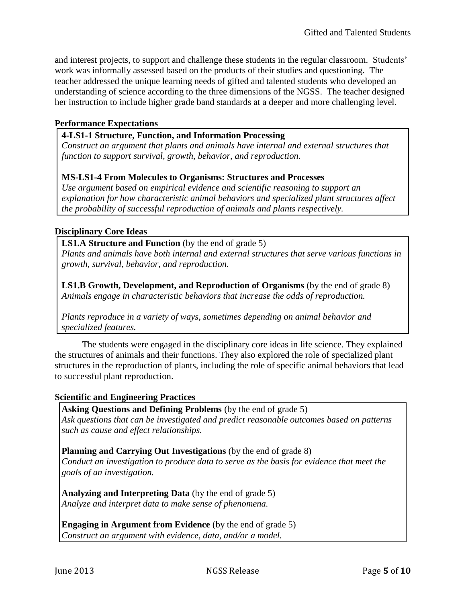and interest projects, to support and challenge these students in the regular classroom. Students' work was informally assessed based on the products of their studies and questioning. The teacher addressed the unique learning needs of gifted and talented students who developed an understanding of science according to the three dimensions of the NGSS. The teacher designed her instruction to include higher grade band standards at a deeper and more challenging level.

# **Performance Expectations**

### **4-LS1-1 Structure, Function, and Information Processing**

*Construct an argument that plants and animals have internal and external structures that function to support survival, growth, behavior, and reproduction.*

### **MS-LS1-4 From Molecules to Organisms: Structures and Processes**

*Use argument based on empirical evidence and scientific reasoning to support an explanation for how characteristic animal behaviors and specialized plant structures affect the probability of successful reproduction of animals and plants respectively.*

### **Disciplinary Core Ideas**

**LS1.A Structure and Function** (by the end of grade 5)

*Plants and animals have both internal and external structures that serve various functions in growth, survival, behavior, and reproduction.*

**LS1.B Growth, Development, and Reproduction of Organisms** (by the end of grade 8) *Animals engage in characteristic behaviors that increase the odds of reproduction.*

*Plants reproduce in a variety of ways, sometimes depending on animal behavior and specialized features.*

The students were engaged in the disciplinary core ideas in life science. They explained the structures of animals and their functions. They also explored the role of specialized plant structures in the reproduction of plants, including the role of specific animal behaviors that lead to successful plant reproduction.

### **Scientific and Engineering Practices**

#### **Asking Questions and Defining Problems** (by the end of grade 5)

*Ask questions that can be investigated and predict reasonable outcomes based on patterns such as cause and effect relationships.*

### **Planning and Carrying Out Investigations** (by the end of grade 8)

*Conduct an investigation to produce data to serve as the basis for evidence that meet the goals of an investigation.*

**Analyzing and Interpreting Data** (by the end of grade 5) *Analyze and interpret data to make sense of phenomena.*

**Engaging in Argument from Evidence** (by the end of grade 5) *Construct an argument with evidence, data, and/or a model.*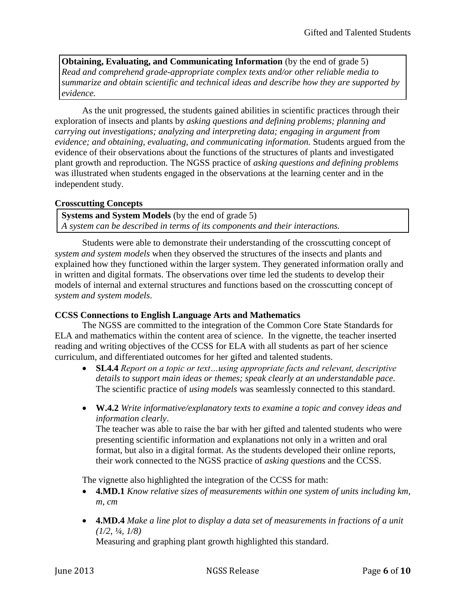**Obtaining, Evaluating, and Communicating Information** (by the end of grade 5) *Read and comprehend grade-appropriate complex texts and/or other reliable media to summarize and obtain scientific and technical ideas and describe how they are supported by evidence.*

As the unit progressed, the students gained abilities in scientific practices through their exploration of insects and plants by *asking questions and defining problems; planning and carrying out investigations; analyzing and interpreting data; engaging in argument from evidence; and obtaining, evaluating, and communicating information.* Students argued from the evidence of their observations about the functions of the structures of plants and investigated plant growth and reproduction. The NGSS practice of *asking questions and defining problems* was illustrated when students engaged in the observations at the learning center and in the independent study.

### **Crosscutting Concepts**

**Systems and System Models** (by the end of grade 5) *A system can be described in terms of its components and their interactions.*

Students were able to demonstrate their understanding of the crosscutting concept of *system and system models* when they observed the structures of the insects and plants and explained how they functioned within the larger system. They generated information orally and in written and digital formats. The observations over time led the students to develop their models of internal and external structures and functions based on the crosscutting concept of *system and system models*.

### **CCSS Connections to English Language Arts and Mathematics**

The NGSS are committed to the integration of the Common Core State Standards for ELA and mathematics within the content area of science. In the vignette, the teacher inserted reading and writing objectives of the CCSS for ELA with all students as part of her science curriculum, and differentiated outcomes for her gifted and talented students.

- **SL4.4** *Report on a topic or text…using appropriate facts and relevant, descriptive details to support main ideas or themes; speak clearly at an understandable pace*. The scientific practice of *using models* was seamlessly connected to this standard.
- **W.4.2** *Write informative/explanatory texts to examine a topic and convey ideas and information clearly*.

The teacher was able to raise the bar with her gifted and talented students who were presenting scientific information and explanations not only in a written and oral format, but also in a digital format. As the students developed their online reports, their work connected to the NGSS practice of *asking questions* and the CCSS.

The vignette also highlighted the integration of the CCSS for math:

- **4.MD.1** *Know relative sizes of measurements within one system of units including km, m, cm*
- **4.MD.4** *Make a line plot to display a data set of measurements in fractions of a unit (1/2, ¼, 1/8)*

Measuring and graphing plant growth highlighted this standard.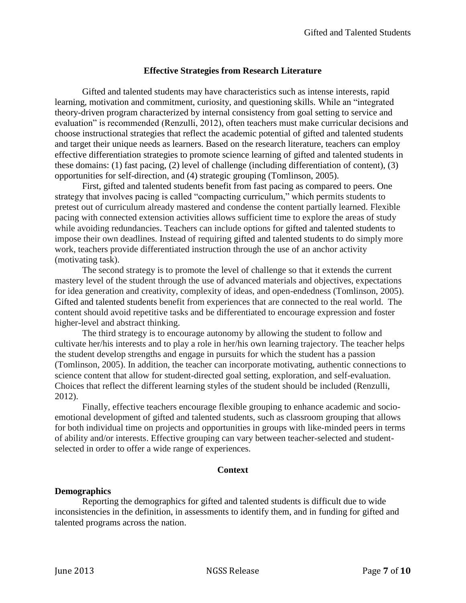### **Effective Strategies from Research Literature**

Gifted and talented students may have characteristics such as intense interests, rapid learning, motivation and commitment, curiosity, and questioning skills. While an "integrated theory-driven program characterized by internal consistency from goal setting to service and evaluation" is recommended (Renzulli, 2012), often teachers must make curricular decisions and choose instructional strategies that reflect the academic potential of gifted and talented students and target their unique needs as learners. Based on the research literature, teachers can employ effective differentiation strategies to promote science learning of gifted and talented students in these domains: (1) fast pacing, (2) level of challenge (including differentiation of content), (3) opportunities for self-direction, and (4) strategic grouping (Tomlinson, 2005).

First, gifted and talented students benefit from fast pacing as compared to peers. One strategy that involves pacing is called "compacting curriculum," which permits students to pretest out of curriculum already mastered and condense the content partially learned. Flexible pacing with connected extension activities allows sufficient time to explore the areas of study while avoiding redundancies. Teachers can include options for gifted and talented students to impose their own deadlines. Instead of requiring gifted and talented students to do simply more work, teachers provide differentiated instruction through the use of an anchor activity (motivating task).

The second strategy is to promote the level of challenge so that it extends the current mastery level of the student through the use of advanced materials and objectives, expectations for idea generation and creativity, complexity of ideas, and open-endedness (Tomlinson, 2005). Gifted and talented students benefit from experiences that are connected to the real world. The content should avoid repetitive tasks and be differentiated to encourage expression and foster higher-level and abstract thinking.

The third strategy is to encourage autonomy by allowing the student to follow and cultivate her/his interests and to play a role in her/his own learning trajectory. The teacher helps the student develop strengths and engage in pursuits for which the student has a passion (Tomlinson, 2005). In addition, the teacher can incorporate motivating, authentic connections to science content that allow for student-directed goal setting, exploration, and self-evaluation. Choices that reflect the different learning styles of the student should be included (Renzulli, 2012).

Finally, effective teachers encourage flexible grouping to enhance academic and socioemotional development of gifted and talented students, such as classroom grouping that allows for both individual time on projects and opportunities in groups with like-minded peers in terms of ability and/or interests. Effective grouping can vary between teacher-selected and studentselected in order to offer a wide range of experiences.

### **Context**

### **Demographics**

Reporting the demographics for gifted and talented students is difficult due to wide inconsistencies in the definition, in assessments to identify them, and in funding for gifted and talented programs across the nation.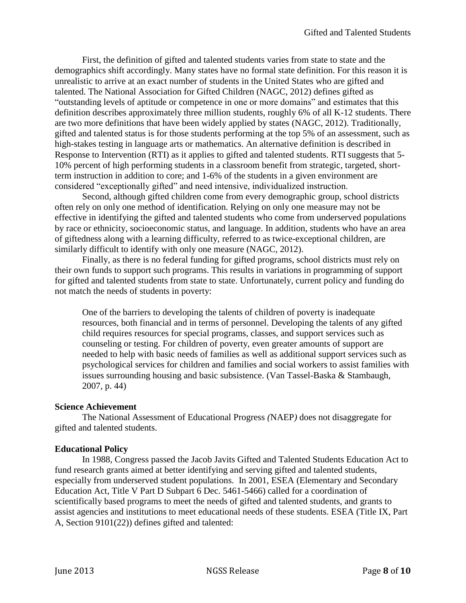First, the definition of gifted and talented students varies from state to state and the demographics shift accordingly. Many states have no formal state definition. For this reason it is unrealistic to arrive at an exact number of students in the United States who are gifted and talented. The National Association for Gifted Children (NAGC, 2012) defines gifted as "outstanding levels of aptitude or competence in one or more domains" and estimates that this definition describes approximately three million students, roughly 6% of all K-12 students. There are two more definitions that have been widely applied by states (NAGC, 2012). Traditionally, gifted and talented status is for those students performing at the top 5% of an assessment, such as high-stakes testing in language arts or mathematics. An alternative definition is described in Response to Intervention (RTI) as it applies to gifted and talented students. RTI suggests that 5- 10% percent of high performing students in a classroom benefit from strategic, targeted, shortterm instruction in addition to core; and 1-6% of the students in a given environment are considered "exceptionally gifted" and need intensive, individualized instruction.

Second, although gifted children come from every demographic group, school districts often rely on only one method of identification. Relying on only one measure may not be effective in identifying the gifted and talented students who come from underserved populations by race or ethnicity, socioeconomic status, and language. In addition, students who have an area of giftedness along with a learning difficulty, referred to as twice-exceptional children, are similarly difficult to identify with only one measure (NAGC, 2012).

Finally, as there is no federal funding for gifted programs, school districts must rely on their own funds to support such programs. This results in variations in programming of support for gifted and talented students from state to state. Unfortunately, current policy and funding do not match the needs of students in poverty:

One of the barriers to developing the talents of children of poverty is inadequate resources, both financial and in terms of personnel. Developing the talents of any gifted child requires resources for special programs, classes, and support services such as counseling or testing. For children of poverty, even greater amounts of support are needed to help with basic needs of families as well as additional support services such as psychological services for children and families and social workers to assist families with issues surrounding housing and basic subsistence. (Van Tassel-Baska & Stambaugh, 2007, p. 44)

### **Science Achievement**

The [National Assessment of Educational Progress](http://nces.ed.gov/nationsreportcard/) *(*NAEP*)* does not disaggregate for gifted and talented students.

### **Educational Policy**

In 1988, Congress passed the Jacob Javits Gifted and Talented Students Education Act to fund research grants aimed at better identifying and serving gifted and talented students, especially from underserved student populations. In 2001, ESEA (Elementary and Secondary Education Act, Title V Part D Subpart 6 Dec. 5461-5466) called for a coordination of scientifically based programs to meet the needs of gifted and talented students, and grants to assist agencies and institutions to meet educational needs of these students. ESEA (Title IX, Part A, Section 9101(22)) defines gifted and talented: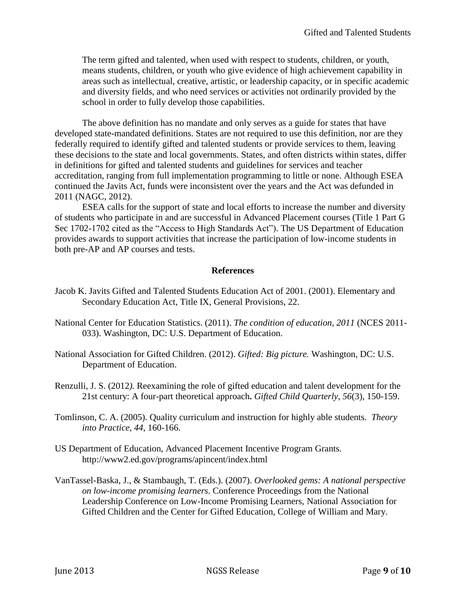The term gifted and talented, when used with respect to students, children, or youth, means students, children, or youth who give evidence of high achievement capability in areas such as intellectual, creative, artistic, or leadership capacity, or in specific academic and diversity fields, and who need services or activities not ordinarily provided by the school in order to fully develop those capabilities.

The above definition has no mandate and only serves as a guide for states that have developed state-mandated definitions. States are not required to use this definition, nor are they federally required to identify gifted and talented students or provide services to them, leaving these decisions to the state and local governments. States, and often districts within states, differ in definitions for gifted and talented students and guidelines for services and teacher accreditation, ranging from full implementation programming to little or none. Although ESEA continued the Javits Act, funds were inconsistent over the years and the Act was defunded in 2011 (NAGC, 2012).

ESEA calls for the support of state and local efforts to increase the number and diversity of students who participate in and are successful in Advanced Placement courses (Title 1 Part G Sec 1702-1702 cited as the "Access to High Standards Act"). The US Department of Education provides awards to support activities that increase the participation of low-income students in both pre-AP and AP courses and tests.

### **References**

- Jacob K. Javits Gifted and Talented Students Education Act of 2001. (2001). Elementary and Secondary Education Act, Title IX, General Provisions, 22.
- National Center for Education Statistics. (2011). *The condition of education, 2011* (NCES 2011- 033). Washington, DC: U.S. Department of Education.
- National Association for Gifted Children. (2012). *Gifted: Big picture.* Washington, DC: U.S. Department of Education.
- Renzulli, J. S. (2012*).* Reexamining the role of gifted education and talent development for the 21st century: A four-part theoretical approach**.** *Gifted Child Quarterly, 56*(3), 150-159.
- Tomlinson, C. A. (2005). Quality curriculum and instruction for highly able students. *Theory into Practice, 44*, 160-166.
- US Department of Education, Advanced Placement Incentive Program Grants. http://www2.ed.gov/programs/apincent/index.html
- VanTassel-Baska, J., & Stambaugh, T. (Eds.). (2007). *Overlooked gems: A national perspective on low-income promising learners.* Conference Proceedings from the National Leadership Conference on Low-Income Promising Learners, National Association for Gifted Children and the Center for Gifted Education, College of William and Mary.